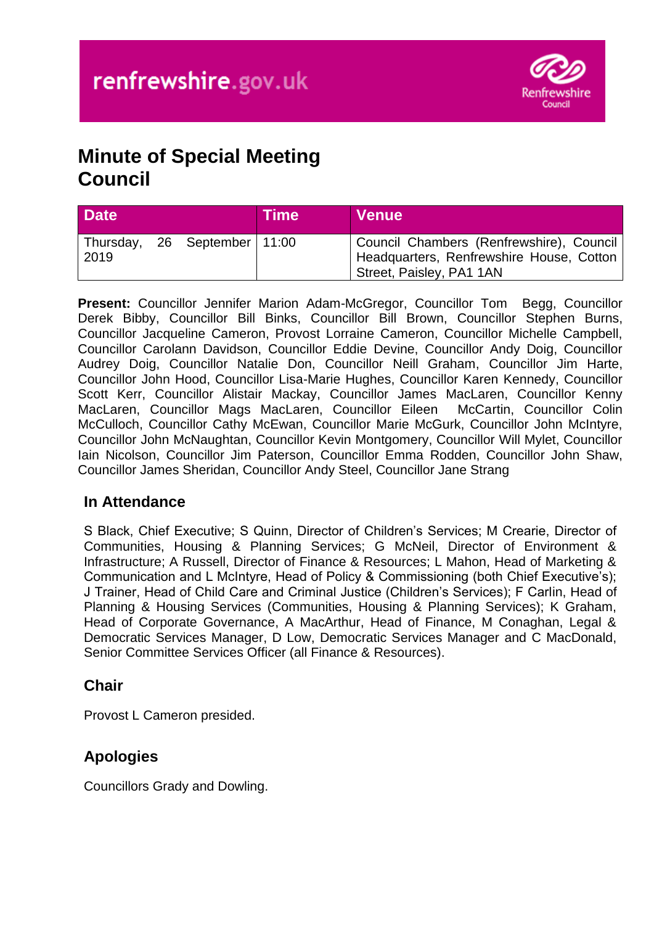

# **Minute of Special Meeting Council**

| <b>Date</b> |                              | <b>Time</b> | <b>Venue</b>                                                                                                       |
|-------------|------------------------------|-------------|--------------------------------------------------------------------------------------------------------------------|
| 2019        | Thursday, 26 September 11:00 |             | Council Chambers (Renfrewshire), Council  <br>Headquarters, Renfrewshire House, Cotton<br>Street, Paisley, PA1 1AN |

**Present:** Councillor Jennifer Marion Adam-McGregor, Councillor Tom Begg, Councillor Derek Bibby, Councillor Bill Binks, Councillor Bill Brown, Councillor Stephen Burns, Councillor Jacqueline Cameron, Provost Lorraine Cameron, Councillor Michelle Campbell, Councillor Carolann Davidson, Councillor Eddie Devine, Councillor Andy Doig, Councillor Audrey Doig, Councillor Natalie Don, Councillor Neill Graham, Councillor Jim Harte, Councillor John Hood, Councillor Lisa-Marie Hughes, Councillor Karen Kennedy, Councillor Scott Kerr, Councillor Alistair Mackay, Councillor James MacLaren, Councillor Kenny MacLaren, Councillor Mags MacLaren, Councillor Eileen McCartin, Councillor Colin McCulloch, Councillor Cathy McEwan, Councillor Marie McGurk, Councillor John McIntyre, Councillor John McNaughtan, Councillor Kevin Montgomery, Councillor Will Mylet, Councillor Iain Nicolson, Councillor Jim Paterson, Councillor Emma Rodden, Councillor John Shaw, Councillor James Sheridan, Councillor Andy Steel, Councillor Jane Strang

#### **In Attendance**

S Black, Chief Executive; S Quinn, Director of Children's Services; M Crearie, Director of Communities, Housing & Planning Services; G McNeil, Director of Environment & Infrastructure; A Russell, Director of Finance & Resources; L Mahon, Head of Marketing & Communication and L McIntyre, Head of Policy & Commissioning (both Chief Executive's); J Trainer, Head of Child Care and Criminal Justice (Children's Services); F Carlin, Head of Planning & Housing Services (Communities, Housing & Planning Services); K Graham, Head of Corporate Governance, A MacArthur, Head of Finance, M Conaghan, Legal & Democratic Services Manager, D Low, Democratic Services Manager and C MacDonald, Senior Committee Services Officer (all Finance & Resources).

#### **Chair**

Provost L Cameron presided.

## **Apologies**

Councillors Grady and Dowling.